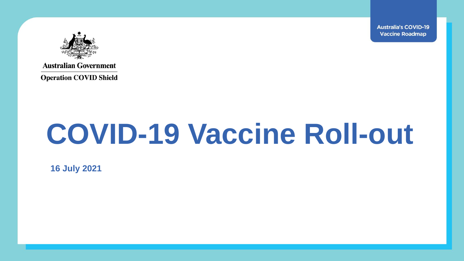**Australia's COVID-19 Vaccine Roadmap** 



**Australian Government** 

**Operation COVID Shield** 

# **COVID-19 Vaccine Roll-out**

**16 July 2021**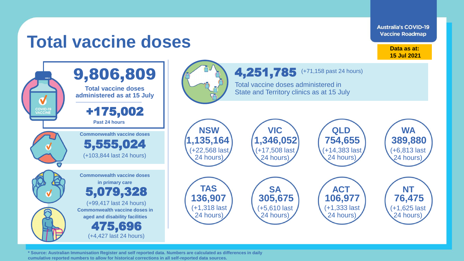**Australia's COVID-19 Vaccine Roadmap** 

## **Total vaccine doses**

**Data as at: 15 Jul 2021**



**\* Source: Australian Immunisation Register and self reported data. Numbers are calculated as differences in daily cumulative reported numbers to allow for historical corrections in all self-reported data sources.**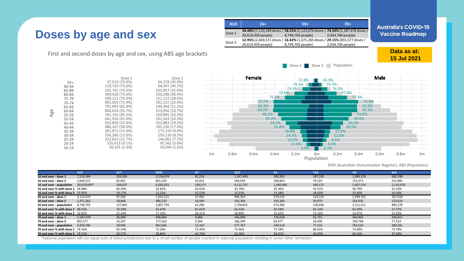#### **Doses by age and sex**

First and second doses by age and sex, using ABS age brackets

39,325 (3.3%) 155,613 (9.1%) 223,822 (11.7%) 256,306 (13.3%) 281,872 (15.4%) 486,327 (30.0%) 543,843 (32.4%) 641,916 (41.0%) 701,165 (45.1%) 800,624 (55.7%) 791,893 (62.9%) 805,003 (72.9%) 590,111 (76.3%) 399,420 (75.6%) 235,701 (74.5%) 119,720 (75.6%) 37,523 (70.9%) Dose 1

| <b>AUS</b> | $16+$              | $50+$                                                                                            | $70+$                                                                                              | Αι |
|------------|--------------------|--------------------------------------------------------------------------------------------------|----------------------------------------------------------------------------------------------------|----|
| Dose 1     | 20,619,959 people) | 8,749,703 people)                                                                                | 34.48% (7,110,184 doses / 58.55% (5,123,076 doses / 74.54% (2,187,478 doses /<br>2,934,706 people) | ٧  |
| Dose 2     | 20,619,959 people) | 12.95% (2,669,571 doses / 16.82% (1,471,265 doses / 29.15% (855,577 doses /<br>8,749,703 people) | 2,934,706 people)                                                                                  |    |
|            |                    |                                                                                                  |                                                                                                    |    |

stralia's COVID-19 accine Roadmap

> **Data as at: 15 Jul 2021**

Dose 1 Dose 2 Population



Age

16-19 20-24 25-29 30-34 35-39 40-44 45-49 50-54 55-59 60-64 65-69 70-74 75-79 80-84 85-89 90-94 95+

DOH (Australian Immunisation Register), ABS (Population)

|                                         | <b>AUS</b>  | <b>ACT</b> | <b>NSW</b> | NT.     | <b>QLD</b> |           | <b>TAS</b> | <b>VIC</b> | <b>WA</b> |
|-----------------------------------------|-------------|------------|------------|---------|------------|-----------|------------|------------|-----------|
| 16 and over - dose 1                    | 7,110,184   | 159,263    | 2,154,674  | 81,216  | 1,347,403  | 509,361   | 187,105    | 1,989,378  | 682,198   |
| 16 and over - dose 2                    | 2,669,571   | 65,961     | 801,520    | 42,923  | 544,039    | 189,823   | 79,325     | 724,373    | 221,981   |
| 16 and over - population                | 20,619,959* | 344,037    | 6,565,651  | 190,571 | 4,112,707  | 1,440,400 | 440,172    | 5,407,574  | 2,114,978 |
| <b>16 and over % with dose 1</b> 34.48% |             | 46.29%     | 32.82%     | 42.62%  | 32.76%     | 35.36%    | 42.51%     | 36.79%     | 32.26%    |
| <b>16 and over % with dose 2</b> 12.95% |             | 19.17%     | 12.21%     | 22.52%  | 13.23%     | 13.18%    | 18.02%     | 13.40%     | 10.50%    |
| 50 and over - dose 1                    | 5,123,076   | 97,506     | 1,563,121  | 37,995  | 994,354    | 379,525   | 143,242    | 1,399,702  | 507,918   |
| 50 and over - dose 2                    | 1.471.265   | 28,668     | 480,233    | 16,449  | 332,304    | 105,364   | 50,970     | 324,432    | 133,024   |
| 50 and over - population                | 8,749,703   | 127,802    | 2,807,793  | 62,280  | 1,758,855  | 674,384   | 220,036    | 2,211,211  | 885,370   |
| <b>50 and over % with dose 1</b> 58.55% |             | 76.29%     | 55.67%     | 61.01%  | 56.53%     | 56.28%    | 65.10%     | 63.30%     | 57.37%    |
| <b>50 and over % with dose 2</b> 16.82% |             | 22.43%     | 17.10%     | 26.41%  | 18.89%     | 15.62%    | 23.16%     | 14.67%     | 15.02%    |
| 70 and over - dose 1                    | 2,187,478   | 36,968     | 696,004    | 9,066   | 436,009    | 176,018   | 61,731     | 564,965    | 206,811   |
| 70 and over - dose 2                    | 855,577     | 16,207     | 277,620    | 5,394   | 186,399    | 64,477    | 28,490     | 199,768    | 77,314    |
| 70 and over - population                | 2,934,706   | 39,946     | 962,606    | 12,343  | 577,767    | 240,514   | 77,155     | 763,519    | 280,281   |
| <b>70 and over % with dose 1 74.54%</b> |             | 92.54%     | 72.30%     | 73.45%  | 75.46%     | 73.18%    | 80.01%     | 73.99%     | 73.79%    |
| <b>70 and over % with dose 2</b> 29.15% |             | 40.57%     | 28.84%     | 43.70%  | 32.26%     | 26.81%    | 36.93%     | 26.16%     | 27.58%    |

\*National population will not equal sum of listed jurisdictions due to a small number of people counted in national population residing in some 'other' territories

19,094 (1.6%) 95,562 (5.6%) 146,001 (7.7%) 159,220 (8.3%) 173,316 (9.4%) 281,230 (17.4%) 323,883 (19.3%) 161,563 (10.3%) 159,805 (10.3%) 153,956 (10.7%) 140,364 (11.2%) 281,215 (25.4%) 221,122 (28.6%) 160,508 (30.4%) 103,957 (32.9%) 64,497 (40.7%) 24,278 (45.9%) Dose 2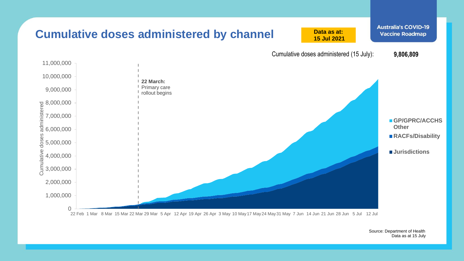

Source: Department of Health Data as at 15 July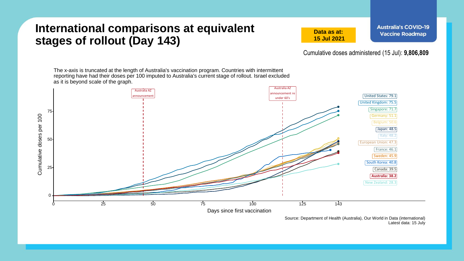#### **International comparisons at equivalent stages of rollout (Day 143)**

**Data as at: 15 Jul 2021**

Cumulative doses administered (15 Jul): **9,806,809**

The x-axis is truncated at the length of Australia's vaccination program. Countries with intermittent reporting have had their doses per 100 imputed to Australia's current stage of rollout. Israel excluded as it is beyond scale of the graph.



Source: Department of Health (Australia), Our World in Data (international) Latest data: 15 July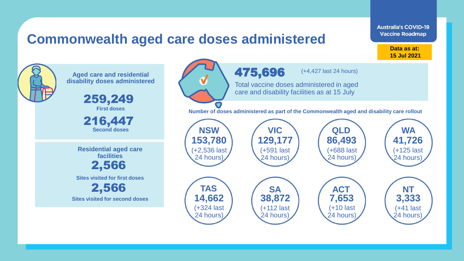### **Commonwealth aged care doses administered**

**Data as at: Data as at: 18 Apr 2021 15 Jul 2021**